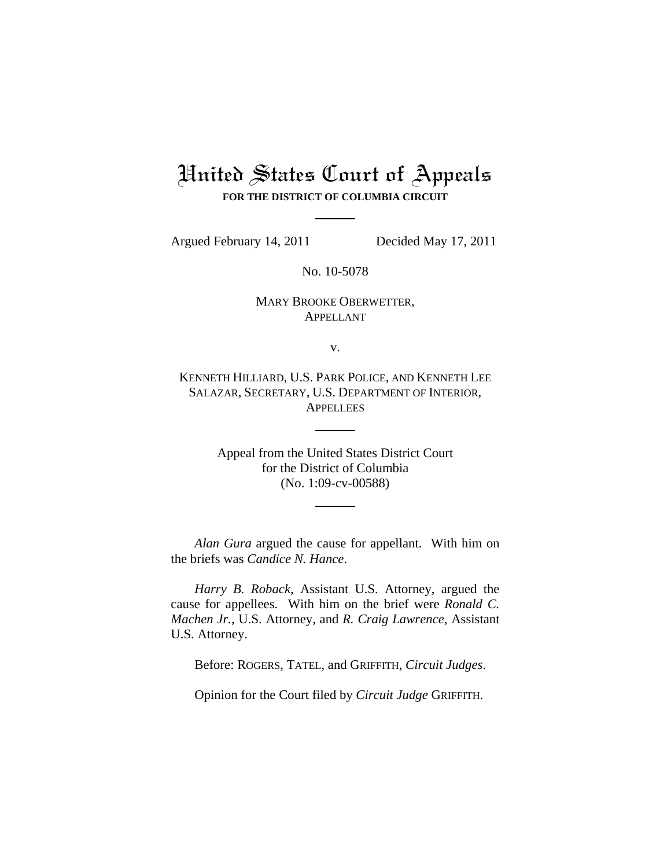# United States Court of Appeals **FOR THE DISTRICT OF COLUMBIA CIRCUIT**

Argued February 14, 2011 Decided May 17, 2011

No. 10-5078

MARY BROOKE OBERWETTER, APPELLANT

v.

KENNETH HILLIARD, U.S. PARK POLICE, AND KENNETH LEE SALAZAR, SECRETARY, U.S. DEPARTMENT OF INTERIOR, **APPELLEES** 

> Appeal from the United States District Court for the District of Columbia (No. 1:09-cv-00588)

*Alan Gura* argued the cause for appellant. With him on the briefs was *Candice N. Hance*.

*Harry B. Roback*, Assistant U.S. Attorney, argued the cause for appellees. With him on the brief were *Ronald C. Machen Jr.*, U.S. Attorney, and *R. Craig Lawrence*, Assistant U.S. Attorney.

Before: ROGERS, TATEL, and GRIFFITH, *Circuit Judges*.

Opinion for the Court filed by *Circuit Judge* GRIFFITH.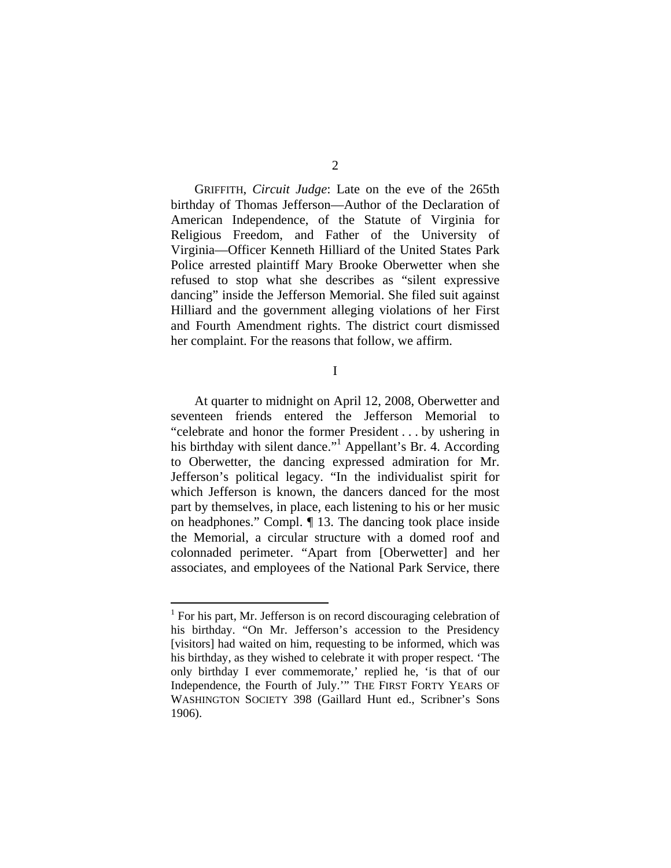GRIFFITH, *Circuit Judge*: Late on the eve of the 265th birthday of Thomas Jefferson—Author of the Declaration of American Independence, of the Statute of Virginia for Religious Freedom, and Father of the University of Virginia—Officer Kenneth Hilliard of the United States Park Police arrested plaintiff Mary Brooke Oberwetter when she refused to stop what she describes as "silent expressive dancing" inside the Jefferson Memorial. She filed suit against Hilliard and the government alleging violations of her First and Fourth Amendment rights. The district court dismissed her complaint. For the reasons that follow, we affirm.

I

At quarter to midnight on April 12, 2008, Oberwetter and seventeen friends entered the Jefferson Memorial to "celebrate and honor the former President . . . by ushering in his birthday with silent dance."<sup>1</sup> Appellant's Br. 4. According to Oberwetter, the dancing expressed admiration for Mr. Jefferson's political legacy. "In the individualist spirit for which Jefferson is known, the dancers danced for the most part by themselves, in place, each listening to his or her music on headphones." Compl. ¶ 13. The dancing took place inside the Memorial, a circular structure with a domed roof and colonnaded perimeter. "Apart from [Oberwetter] and her associates, and employees of the National Park Service, there

<sup>&</sup>lt;sup>1</sup> For his part, Mr. Jefferson is on record discouraging celebration of his birthday. "On Mr. Jefferson's accession to the Presidency [visitors] had waited on him, requesting to be informed, which was his birthday, as they wished to celebrate it with proper respect. 'The only birthday I ever commemorate,' replied he, 'is that of our Independence, the Fourth of July.'" THE FIRST FORTY YEARS OF WASHINGTON SOCIETY 398 (Gaillard Hunt ed., Scribner's Sons 1906).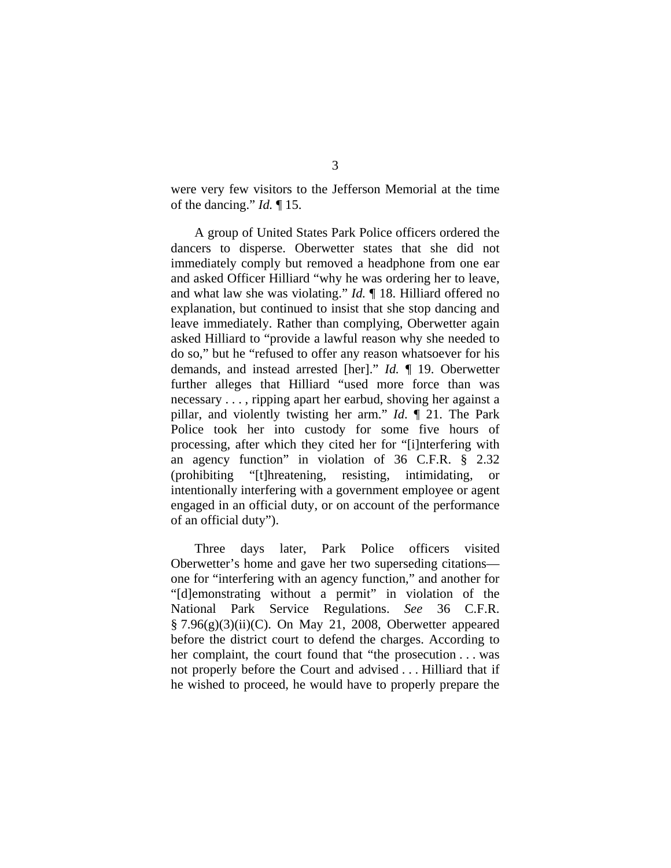were very few visitors to the Jefferson Memorial at the time of the dancing." *Id.* ¶ 15.

A group of United States Park Police officers ordered the dancers to disperse. Oberwetter states that she did not immediately comply but removed a headphone from one ear and asked Officer Hilliard "why he was ordering her to leave, and what law she was violating." *Id.* ¶ 18. Hilliard offered no explanation, but continued to insist that she stop dancing and leave immediately. Rather than complying, Oberwetter again asked Hilliard to "provide a lawful reason why she needed to do so," but he "refused to offer any reason whatsoever for his demands, and instead arrested [her]." *Id.* ¶ 19. Oberwetter further alleges that Hilliard "used more force than was necessary . . . , ripping apart her earbud, shoving her against a pillar, and violently twisting her arm." *Id*. ¶ 21. The Park Police took her into custody for some five hours of processing, after which they cited her for "[i]nterfering with an agency function" in violation of 36 C.F.R. § 2.32 (prohibiting "[t]hreatening, resisting, intimidating, or intentionally interfering with a government employee or agent engaged in an official duty, or on account of the performance of an official duty").

Three days later, Park Police officers visited Oberwetter's home and gave her two superseding citations one for "interfering with an agency function," and another for "[d]emonstrating without a permit" in violation of the National Park Service Regulations. *See* 36 C.F.R. § 7.96(g)(3)(ii)(C). On May 21, 2008, Oberwetter appeared before the district court to defend the charges. According to her complaint, the court found that "the prosecution . . . was not properly before the Court and advised . . . Hilliard that if he wished to proceed, he would have to properly prepare the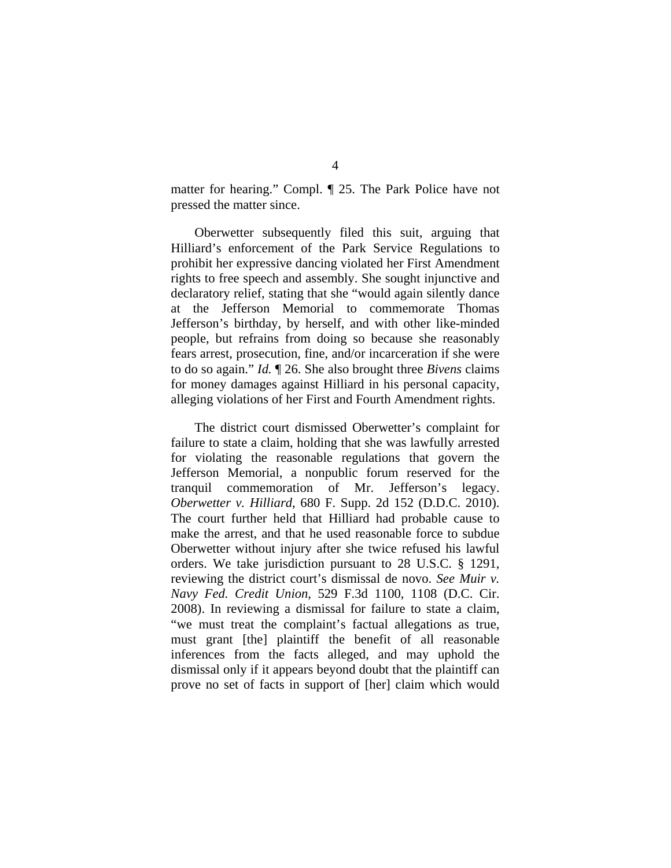matter for hearing." Compl. ¶ 25. The Park Police have not pressed the matter since.

Oberwetter subsequently filed this suit, arguing that Hilliard's enforcement of the Park Service Regulations to prohibit her expressive dancing violated her First Amendment rights to free speech and assembly. She sought injunctive and declaratory relief, stating that she "would again silently dance at the Jefferson Memorial to commemorate Thomas Jefferson's birthday, by herself, and with other like-minded people, but refrains from doing so because she reasonably fears arrest, prosecution, fine, and/or incarceration if she were to do so again." *Id.* ¶ 26. She also brought three *Bivens* claims for money damages against Hilliard in his personal capacity, alleging violations of her First and Fourth Amendment rights.

The district court dismissed Oberwetter's complaint for failure to state a claim, holding that she was lawfully arrested for violating the reasonable regulations that govern the Jefferson Memorial, a nonpublic forum reserved for the tranquil commemoration of Mr. Jefferson's legacy. *Oberwetter v. Hilliard*, 680 F. Supp. 2d 152 (D.D.C. 2010). The court further held that Hilliard had probable cause to make the arrest, and that he used reasonable force to subdue Oberwetter without injury after she twice refused his lawful orders. We take jurisdiction pursuant to 28 U.S.C. § 1291, reviewing the district court's dismissal de novo. *See Muir v. Navy Fed. Credit Union*, 529 F.3d 1100, 1108 (D.C. Cir. 2008). In reviewing a dismissal for failure to state a claim, "we must treat the complaint's factual allegations as true, must grant [the] plaintiff the benefit of all reasonable inferences from the facts alleged, and may uphold the dismissal only if it appears beyond doubt that the plaintiff can prove no set of facts in support of [her] claim which would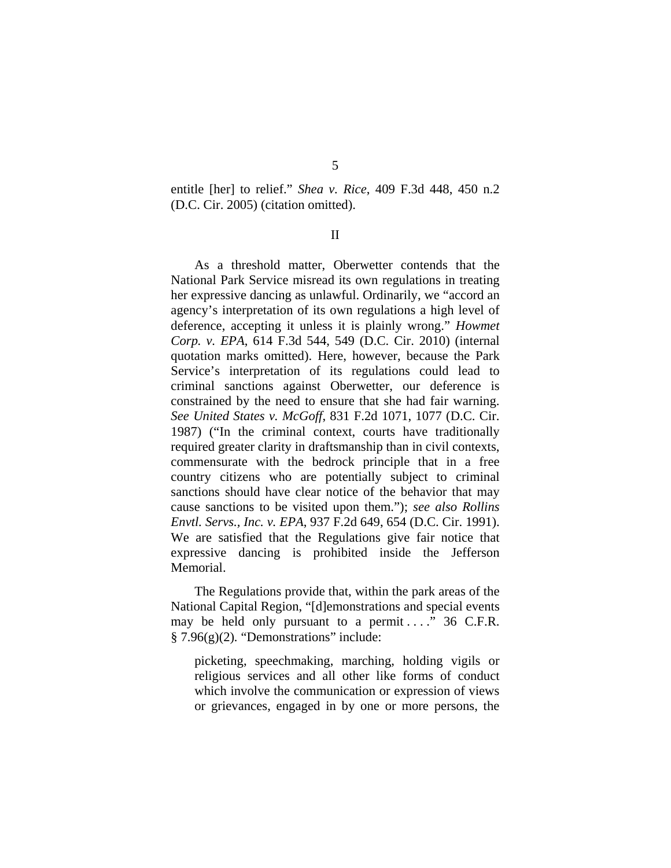entitle [her] to relief." *Shea v. Rice*, 409 F.3d 448, 450 n.2 (D.C. Cir. 2005) (citation omitted).

II

 As a threshold matter, Oberwetter contends that the National Park Service misread its own regulations in treating her expressive dancing as unlawful. Ordinarily, we "accord an agency's interpretation of its own regulations a high level of deference, accepting it unless it is plainly wrong." *Howmet Corp. v. EPA*, 614 F.3d 544, 549 (D.C. Cir. 2010) (internal quotation marks omitted). Here, however, because the Park Service's interpretation of its regulations could lead to criminal sanctions against Oberwetter, our deference is constrained by the need to ensure that she had fair warning. *See United States v. McGoff*, 831 F.2d 1071, 1077 (D.C. Cir. 1987) ("In the criminal context, courts have traditionally required greater clarity in draftsmanship than in civil contexts, commensurate with the bedrock principle that in a free country citizens who are potentially subject to criminal sanctions should have clear notice of the behavior that may cause sanctions to be visited upon them."); *see also Rollins Envtl. Servs., Inc. v. EPA*, 937 F.2d 649, 654 (D.C. Cir. 1991). We are satisfied that the Regulations give fair notice that expressive dancing is prohibited inside the Jefferson Memorial.

 The Regulations provide that, within the park areas of the National Capital Region, "[d]emonstrations and special events may be held only pursuant to a permit . . . . " 36 C.F.R. § 7.96(g)(2)*.* "Demonstrations" include:

picketing, speechmaking, marching, holding vigils or religious services and all other like forms of conduct which involve the communication or expression of views or grievances, engaged in by one or more persons, the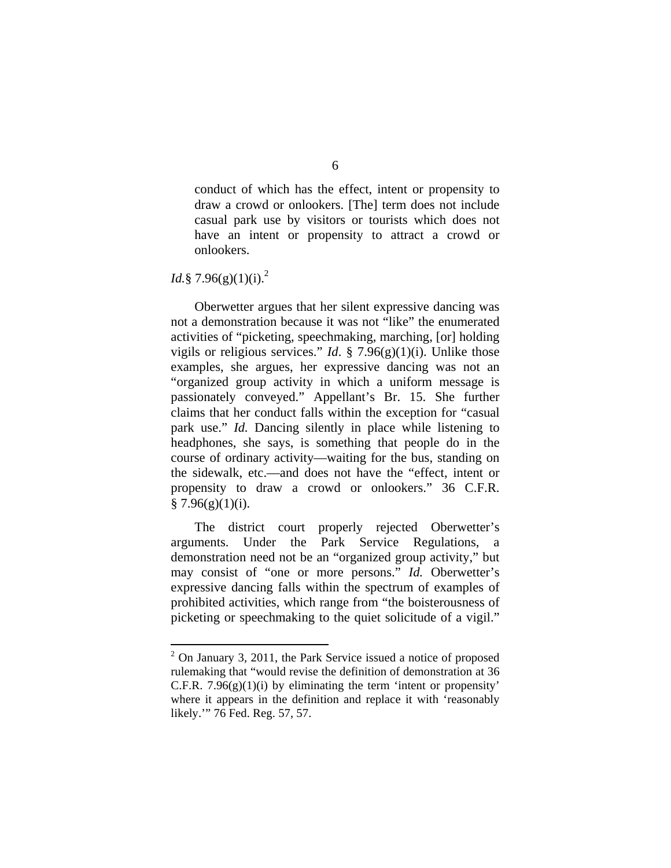conduct of which has the effect, intent or propensity to draw a crowd or onlookers. [The] term does not include casual park use by visitors or tourists which does not have an intent or propensity to attract a crowd or onlookers.

## *Id.*§ 7.96(g)(1)(j).<sup>2</sup>

<u>.</u>

 Oberwetter argues that her silent expressive dancing was not a demonstration because it was not "like" the enumerated activities of "picketing, speechmaking, marching, [or] holding vigils or religious services." *Id.* § 7.96(g)(1)(i). Unlike those examples, she argues, her expressive dancing was not an "organized group activity in which a uniform message is passionately conveyed." Appellant's Br. 15. She further claims that her conduct falls within the exception for "casual park use." *Id.* Dancing silently in place while listening to headphones, she says, is something that people do in the course of ordinary activity—waiting for the bus, standing on the sidewalk, etc.—and does not have the "effect, intent or propensity to draw a crowd or onlookers." 36 C.F.R.  $§ 7.96(g)(1)(i).$ 

 The district court properly rejected Oberwetter's arguments. Under the Park Service Regulations, a demonstration need not be an "organized group activity," but may consist of "one or more persons." *Id.* Oberwetter's expressive dancing falls within the spectrum of examples of prohibited activities, which range from "the boisterousness of picketing or speechmaking to the quiet solicitude of a vigil."

 $2$  On January 3, 2011, the Park Service issued a notice of proposed rulemaking that "would revise the definition of demonstration at 36 C.F.R.  $7.96(g)(1)(i)$  by eliminating the term 'intent or propensity' where it appears in the definition and replace it with 'reasonably likely.'" 76 Fed. Reg. 57, 57.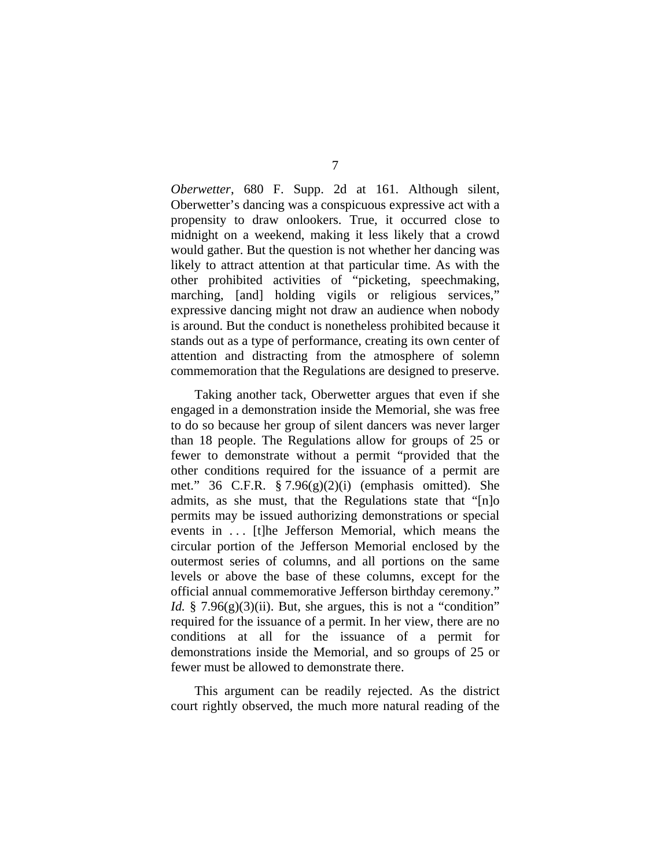*Oberwetter*, 680 F. Supp. 2d at 161. Although silent, Oberwetter's dancing was a conspicuous expressive act with a propensity to draw onlookers. True, it occurred close to midnight on a weekend, making it less likely that a crowd would gather. But the question is not whether her dancing was likely to attract attention at that particular time. As with the other prohibited activities of "picketing, speechmaking, marching, [and] holding vigils or religious services," expressive dancing might not draw an audience when nobody is around. But the conduct is nonetheless prohibited because it stands out as a type of performance, creating its own center of attention and distracting from the atmosphere of solemn commemoration that the Regulations are designed to preserve.

 Taking another tack, Oberwetter argues that even if she engaged in a demonstration inside the Memorial, she was free to do so because her group of silent dancers was never larger than 18 people. The Regulations allow for groups of 25 or fewer to demonstrate without a permit "provided that the other conditions required for the issuance of a permit are met." 36 C.F.R. § 7.96(g)(2)(i) (emphasis omitted). She admits, as she must, that the Regulations state that "[n]o permits may be issued authorizing demonstrations or special events in . . . [t]he Jefferson Memorial, which means the circular portion of the Jefferson Memorial enclosed by the outermost series of columns, and all portions on the same levels or above the base of these columns, except for the official annual commemorative Jefferson birthday ceremony." *Id.*  $\frac{8}{3}$  7.96(g)(3)(ii). But, she argues, this is not a "condition" required for the issuance of a permit. In her view, there are no conditions at all for the issuance of a permit for demonstrations inside the Memorial, and so groups of 25 or fewer must be allowed to demonstrate there.

 This argument can be readily rejected. As the district court rightly observed, the much more natural reading of the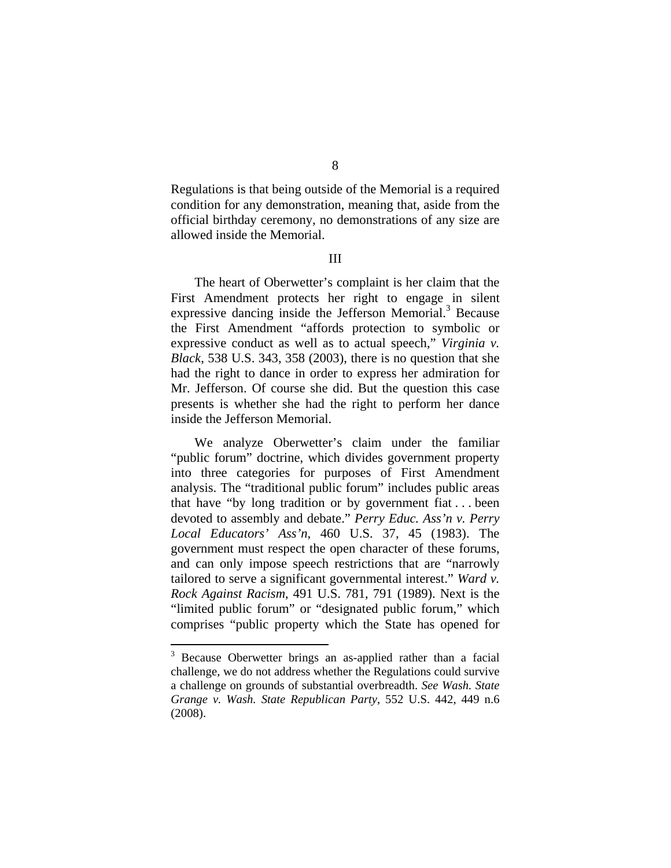Regulations is that being outside of the Memorial is a required condition for any demonstration, meaning that, aside from the official birthday ceremony, no demonstrations of any size are allowed inside the Memorial.

III

 The heart of Oberwetter's complaint is her claim that the First Amendment protects her right to engage in silent expressive dancing inside the Jefferson Memorial.<sup>3</sup> Because the First Amendment "affords protection to symbolic or expressive conduct as well as to actual speech," *Virginia v. Black*, 538 U.S. 343, 358 (2003), there is no question that she had the right to dance in order to express her admiration for Mr. Jefferson. Of course she did. But the question this case presents is whether she had the right to perform her dance inside the Jefferson Memorial.

We analyze Oberwetter's claim under the familiar "public forum" doctrine, which divides government property into three categories for purposes of First Amendment analysis. The "traditional public forum" includes public areas that have "by long tradition or by government fiat . . . been devoted to assembly and debate." *Perry Educ. Ass'n v. Perry Local Educators' Ass'n*, 460 U.S. 37, 45 (1983). The government must respect the open character of these forums, and can only impose speech restrictions that are "narrowly tailored to serve a significant governmental interest." *Ward v. Rock Against Racism*, 491 U.S. 781, 791 (1989). Next is the "limited public forum" or "designated public forum," which comprises "public property which the State has opened for

<sup>&</sup>lt;sup>3</sup> Because Oberwetter brings an as-applied rather than a facial challenge, we do not address whether the Regulations could survive a challenge on grounds of substantial overbreadth. *See Wash. State Grange v. Wash. State Republican Party*, 552 U.S. 442, 449 n.6 (2008).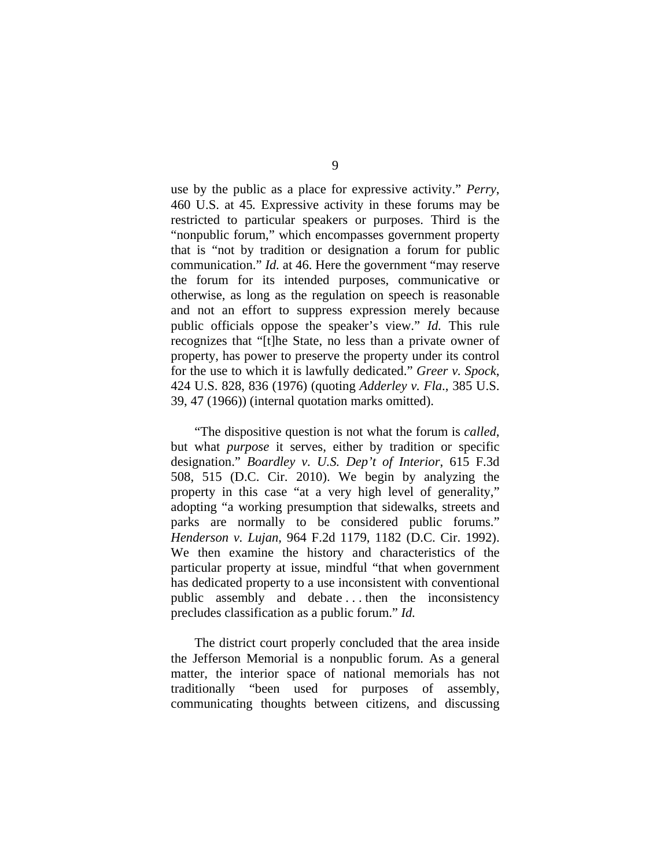use by the public as a place for expressive activity." *Perry*, 460 U.S. at 45*.* Expressive activity in these forums may be restricted to particular speakers or purposes. Third is the "nonpublic forum," which encompasses government property that is "not by tradition or designation a forum for public communication." *Id.* at 46. Here the government "may reserve the forum for its intended purposes, communicative or otherwise, as long as the regulation on speech is reasonable and not an effort to suppress expression merely because public officials oppose the speaker's view." *Id.* This rule recognizes that "[t]he State, no less than a private owner of property, has power to preserve the property under its control for the use to which it is lawfully dedicated." *Greer v. Spock*, 424 U.S. 828, 836 (1976) (quoting *Adderley v. Fla*., 385 U.S. 39, 47 (1966)) (internal quotation marks omitted).

"The dispositive question is not what the forum is *called*, but what *purpose* it serves, either by tradition or specific designation." *Boardley v. U.S. Dep't of Interior*, 615 F.3d 508, 515 (D.C. Cir. 2010). We begin by analyzing the property in this case "at a very high level of generality," adopting "a working presumption that sidewalks, streets and parks are normally to be considered public forums." *Henderson v. Lujan*, 964 F.2d 1179, 1182 (D.C. Cir. 1992). We then examine the history and characteristics of the particular property at issue, mindful "that when government has dedicated property to a use inconsistent with conventional public assembly and debate . . . then the inconsistency precludes classification as a public forum." *Id.*

The district court properly concluded that the area inside the Jefferson Memorial is a nonpublic forum. As a general matter, the interior space of national memorials has not traditionally "been used for purposes of assembly, communicating thoughts between citizens, and discussing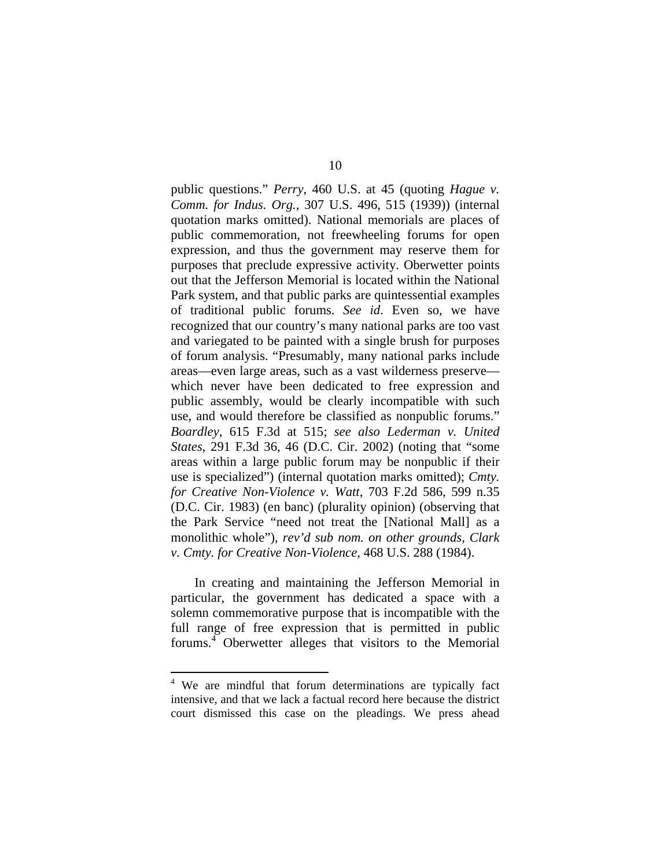public questions." *Perry*, 460 U.S. at 45 (quoting *Hague v. Comm. for Indus. Org.*, 307 U.S. 496, 515 (1939)) (internal quotation marks omitted). National memorials are places of public commemoration, not freewheeling forums for open expression, and thus the government may reserve them for purposes that preclude expressive activity. Oberwetter points out that the Jefferson Memorial is located within the National Park system, and that public parks are quintessential examples of traditional public forums. *See id*. Even so, we have recognized that our country's many national parks are too vast and variegated to be painted with a single brush for purposes of forum analysis. "Presumably, many national parks include areas—even large areas, such as a vast wilderness preserve which never have been dedicated to free expression and public assembly, would be clearly incompatible with such use, and would therefore be classified as nonpublic forums." *Boardley*, 615 F.3d at 515; *see also Lederman v. United States*, 291 F.3d 36, 46 (D.C. Cir. 2002) (noting that "some areas within a large public forum may be nonpublic if their use is specialized") (internal quotation marks omitted); *Cmty. for Creative Non-Violence v. Watt*, 703 F.2d 586, 599 n.35 (D.C. Cir. 1983) (en banc) (plurality opinion) (observing that the Park Service "need not treat the [National Mall] as a monolithic whole"), *rev'd sub nom. on other grounds*, *Clark v. Cmty. for Creative Non-Violence*, 468 U.S. 288 (1984).

In creating and maintaining the Jefferson Memorial in particular, the government has dedicated a space with a solemn commemorative purpose that is incompatible with the full range of free expression that is permitted in public forums.<sup>4</sup> Oberwetter alleges that visitors to the Memorial

<sup>&</sup>lt;sup>4</sup> We are mindful that forum determinations are typically fact intensive, and that we lack a factual record here because the district court dismissed this case on the pleadings. We press ahead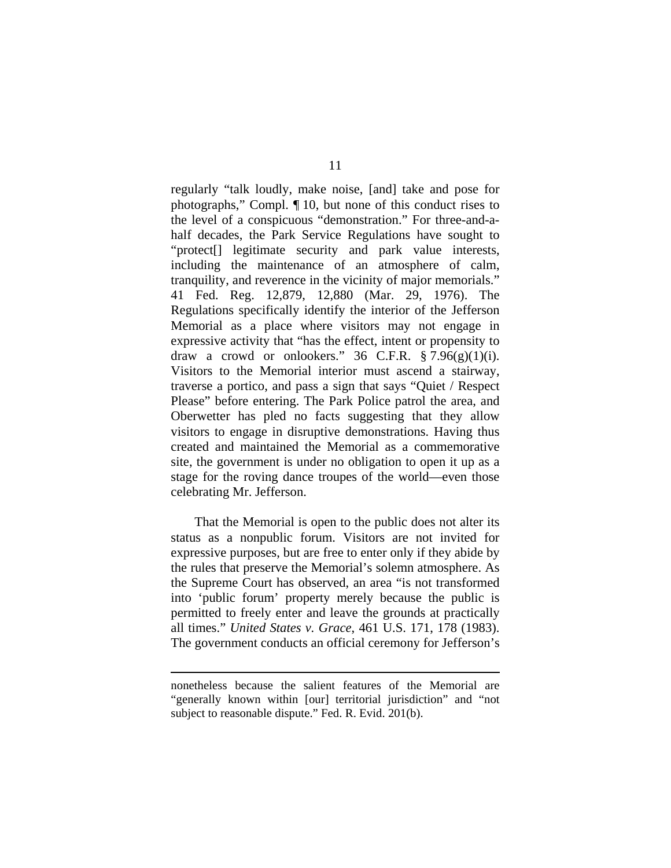regularly "talk loudly, make noise, [and] take and pose for photographs," Compl. ¶ 10, but none of this conduct rises to the level of a conspicuous "demonstration." For three-and-ahalf decades, the Park Service Regulations have sought to "protect[] legitimate security and park value interests, including the maintenance of an atmosphere of calm, tranquility, and reverence in the vicinity of major memorials." 41 Fed. Reg. 12,879, 12,880 (Mar. 29, 1976). The Regulations specifically identify the interior of the Jefferson Memorial as a place where visitors may not engage in expressive activity that "has the effect, intent or propensity to draw a crowd or onlookers." 36 C.F.R.  $$7.96(g)(1)(i)$ . Visitors to the Memorial interior must ascend a stairway, traverse a portico, and pass a sign that says "Quiet / Respect Please" before entering. The Park Police patrol the area, and Oberwetter has pled no facts suggesting that they allow visitors to engage in disruptive demonstrations. Having thus created and maintained the Memorial as a commemorative site, the government is under no obligation to open it up as a stage for the roving dance troupes of the world—even those celebrating Mr. Jefferson.

That the Memorial is open to the public does not alter its status as a nonpublic forum. Visitors are not invited for expressive purposes, but are free to enter only if they abide by the rules that preserve the Memorial's solemn atmosphere. As the Supreme Court has observed, an area "is not transformed into 'public forum' property merely because the public is permitted to freely enter and leave the grounds at practically all times." *United States v. Grace*, 461 U.S. 171, 178 (1983). The government conducts an official ceremony for Jefferson's

nonetheless because the salient features of the Memorial are "generally known within [our] territorial jurisdiction" and "not subject to reasonable dispute." Fed. R. Evid. 201(b).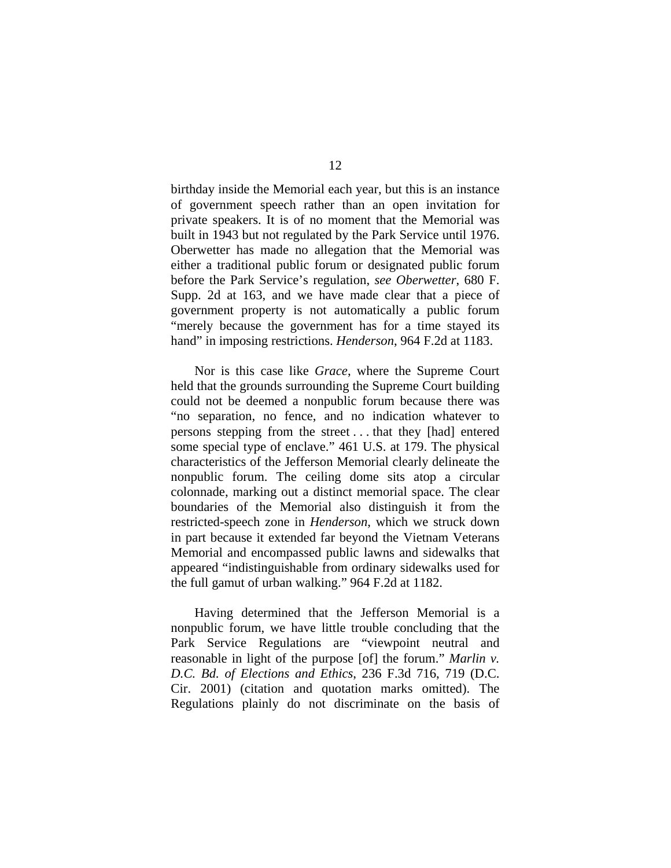birthday inside the Memorial each year, but this is an instance of government speech rather than an open invitation for private speakers. It is of no moment that the Memorial was built in 1943 but not regulated by the Park Service until 1976. Oberwetter has made no allegation that the Memorial was either a traditional public forum or designated public forum before the Park Service's regulation, *see Oberwetter*, 680 F. Supp. 2d at 163, and we have made clear that a piece of government property is not automatically a public forum "merely because the government has for a time stayed its hand" in imposing restrictions. *Henderson*, 964 F.2d at 1183.

Nor is this case like *Grace*, where the Supreme Court held that the grounds surrounding the Supreme Court building could not be deemed a nonpublic forum because there was "no separation, no fence, and no indication whatever to persons stepping from the street . . . that they [had] entered some special type of enclave." 461 U.S. at 179. The physical characteristics of the Jefferson Memorial clearly delineate the nonpublic forum. The ceiling dome sits atop a circular colonnade, marking out a distinct memorial space. The clear boundaries of the Memorial also distinguish it from the restricted-speech zone in *Henderson*, which we struck down in part because it extended far beyond the Vietnam Veterans Memorial and encompassed public lawns and sidewalks that appeared "indistinguishable from ordinary sidewalks used for the full gamut of urban walking." 964 F.2d at 1182.

Having determined that the Jefferson Memorial is a nonpublic forum, we have little trouble concluding that the Park Service Regulations are "viewpoint neutral and reasonable in light of the purpose [of] the forum." *Marlin v. D.C. Bd. of Elections and Ethics*, 236 F.3d 716, 719 (D.C. Cir. 2001) (citation and quotation marks omitted). The Regulations plainly do not discriminate on the basis of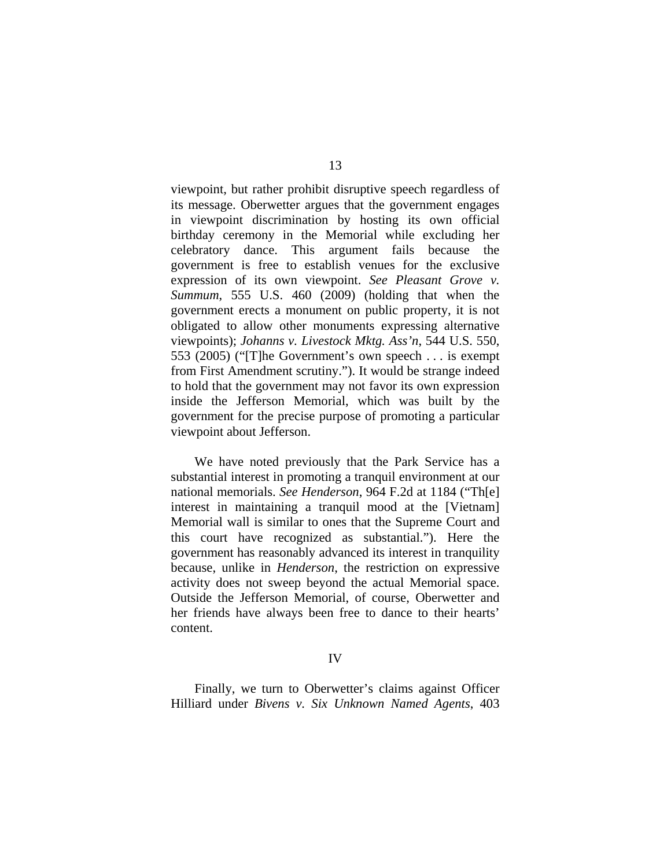viewpoint, but rather prohibit disruptive speech regardless of its message. Oberwetter argues that the government engages in viewpoint discrimination by hosting its own official birthday ceremony in the Memorial while excluding her celebratory dance. This argument fails because the government is free to establish venues for the exclusive expression of its own viewpoint. *See Pleasant Grove v. Summum*, 555 U.S. 460 (2009) (holding that when the government erects a monument on public property, it is not obligated to allow other monuments expressing alternative viewpoints); *Johanns v. Livestock Mktg. Ass'n*, 544 U.S. 550, 553 (2005) ("[T]he Government's own speech . . . is exempt from First Amendment scrutiny."). It would be strange indeed to hold that the government may not favor its own expression inside the Jefferson Memorial, which was built by the government for the precise purpose of promoting a particular viewpoint about Jefferson.

We have noted previously that the Park Service has a substantial interest in promoting a tranquil environment at our national memorials. *See Henderson*, 964 F.2d at 1184 ("Th[e] interest in maintaining a tranquil mood at the [Vietnam] Memorial wall is similar to ones that the Supreme Court and this court have recognized as substantial."). Here the government has reasonably advanced its interest in tranquility because, unlike in *Henderson*, the restriction on expressive activity does not sweep beyond the actual Memorial space. Outside the Jefferson Memorial, of course, Oberwetter and her friends have always been free to dance to their hearts' content.

#### IV

Finally, we turn to Oberwetter's claims against Officer Hilliard under *Bivens v. Six Unknown Named Agents*, 403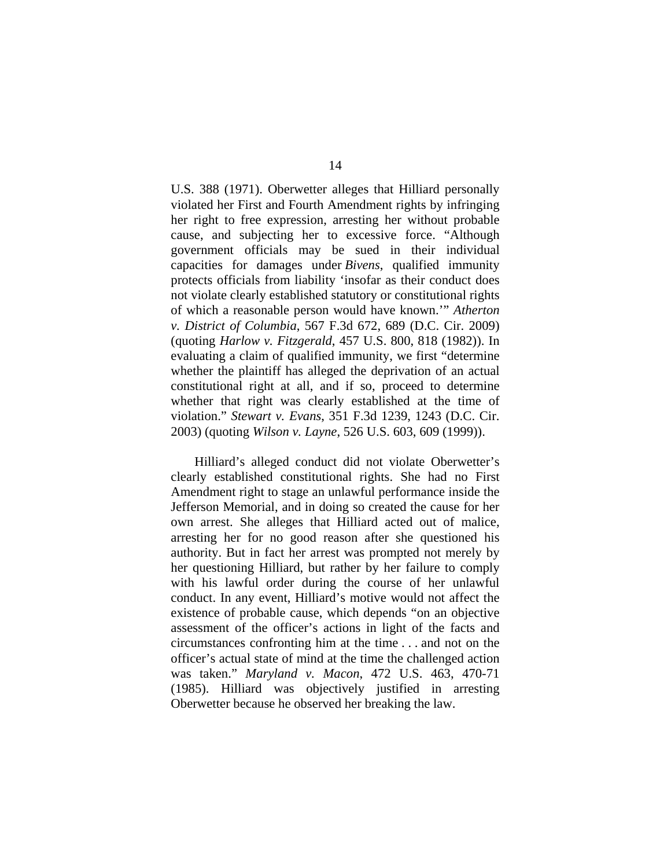U.S. 388 (1971). Oberwetter alleges that Hilliard personally violated her First and Fourth Amendment rights by infringing her right to free expression, arresting her without probable cause, and subjecting her to excessive force. "Although government officials may be sued in their individual capacities for damages under *Bivens*, qualified immunity protects officials from liability 'insofar as their conduct does not violate clearly established statutory or constitutional rights of which a reasonable person would have known.'" *Atherton v. District of Columbia*, 567 F.3d 672, 689 (D.C. Cir. 2009) (quoting *Harlow v. Fitzgerald*, 457 U.S. 800, 818 (1982)). In evaluating a claim of qualified immunity, we first "determine whether the plaintiff has alleged the deprivation of an actual constitutional right at all, and if so, proceed to determine whether that right was clearly established at the time of violation." *Stewart v. Evans*, 351 F.3d 1239, 1243 (D.C. Cir. 2003) (quoting *Wilson v. Layne*, 526 U.S. 603, 609 (1999)).

Hilliard's alleged conduct did not violate Oberwetter's clearly established constitutional rights. She had no First Amendment right to stage an unlawful performance inside the Jefferson Memorial, and in doing so created the cause for her own arrest. She alleges that Hilliard acted out of malice, arresting her for no good reason after she questioned his authority. But in fact her arrest was prompted not merely by her questioning Hilliard, but rather by her failure to comply with his lawful order during the course of her unlawful conduct. In any event, Hilliard's motive would not affect the existence of probable cause, which depends "on an objective assessment of the officer's actions in light of the facts and circumstances confronting him at the time . . . and not on the officer's actual state of mind at the time the challenged action was taken." *Maryland v. Macon*, 472 U.S. 463, 470-71 (1985). Hilliard was objectively justified in arresting Oberwetter because he observed her breaking the law.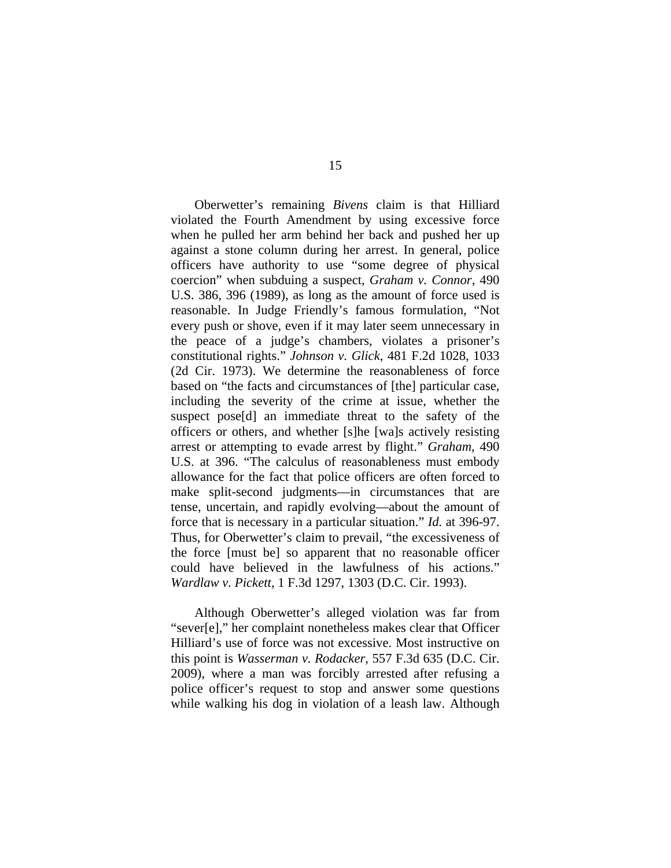Oberwetter's remaining *Bivens* claim is that Hilliard violated the Fourth Amendment by using excessive force when he pulled her arm behind her back and pushed her up against a stone column during her arrest. In general, police officers have authority to use "some degree of physical coercion" when subduing a suspect, *Graham v. Connor*, 490 U.S. 386, 396 (1989), as long as the amount of force used is reasonable. In Judge Friendly's famous formulation, "Not every push or shove, even if it may later seem unnecessary in the peace of a judge's chambers, violates a prisoner's constitutional rights." *Johnson v. Glick*, 481 F.2d 1028, 1033 (2d Cir. 1973). We determine the reasonableness of force based on "the facts and circumstances of [the] particular case, including the severity of the crime at issue, whether the suspect pose[d] an immediate threat to the safety of the officers or others, and whether [s]he [wa]s actively resisting arrest or attempting to evade arrest by flight." *Graham*, 490 U.S. at 396. "The calculus of reasonableness must embody allowance for the fact that police officers are often forced to make split-second judgments—in circumstances that are tense, uncertain, and rapidly evolving—about the amount of force that is necessary in a particular situation." *Id.* at 396-97. Thus, for Oberwetter's claim to prevail, "the excessiveness of the force [must be] so apparent that no reasonable officer could have believed in the lawfulness of his actions." *Wardlaw v. Pickett*, 1 F.3d 1297, 1303 (D.C. Cir. 1993).

Although Oberwetter's alleged violation was far from "sever[e]," her complaint nonetheless makes clear that Officer Hilliard's use of force was not excessive. Most instructive on this point is *Wasserman v. Rodacker*, 557 F.3d 635 (D.C. Cir. 2009), where a man was forcibly arrested after refusing a police officer's request to stop and answer some questions while walking his dog in violation of a leash law. Although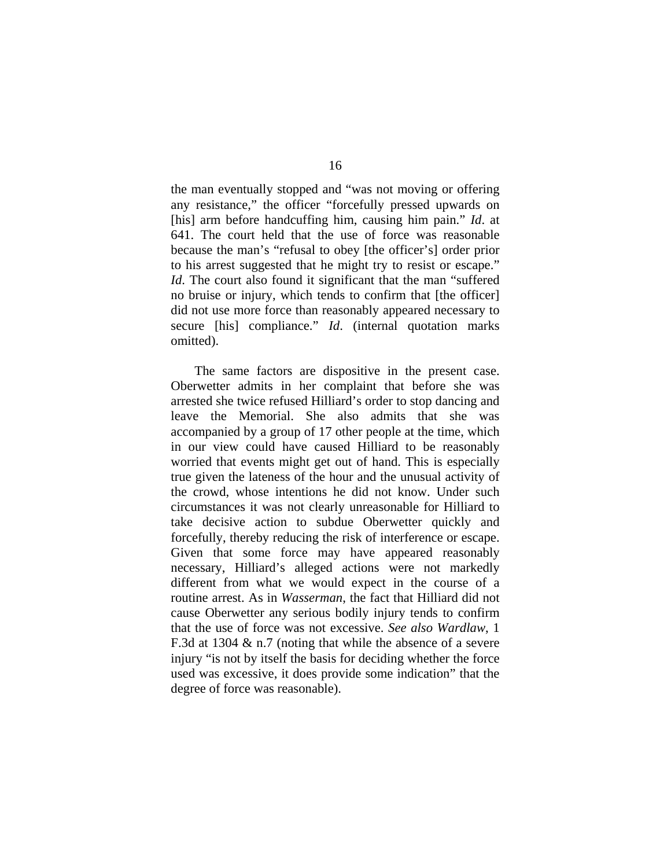the man eventually stopped and "was not moving or offering any resistance," the officer "forcefully pressed upwards on [his] arm before handcuffing him, causing him pain." *Id*. at 641. The court held that the use of force was reasonable because the man's "refusal to obey [the officer's] order prior to his arrest suggested that he might try to resist or escape." *Id*. The court also found it significant that the man "suffered no bruise or injury, which tends to confirm that [the officer] did not use more force than reasonably appeared necessary to secure [his] compliance." *Id*. (internal quotation marks omitted).

The same factors are dispositive in the present case. Oberwetter admits in her complaint that before she was arrested she twice refused Hilliard's order to stop dancing and leave the Memorial. She also admits that she was accompanied by a group of 17 other people at the time, which in our view could have caused Hilliard to be reasonably worried that events might get out of hand. This is especially true given the lateness of the hour and the unusual activity of the crowd, whose intentions he did not know. Under such circumstances it was not clearly unreasonable for Hilliard to take decisive action to subdue Oberwetter quickly and forcefully, thereby reducing the risk of interference or escape. Given that some force may have appeared reasonably necessary, Hilliard's alleged actions were not markedly different from what we would expect in the course of a routine arrest. As in *Wasserman*, the fact that Hilliard did not cause Oberwetter any serious bodily injury tends to confirm that the use of force was not excessive. *See also Wardlaw*, 1 F.3d at 1304 & n.7 (noting that while the absence of a severe injury "is not by itself the basis for deciding whether the force used was excessive, it does provide some indication" that the degree of force was reasonable).